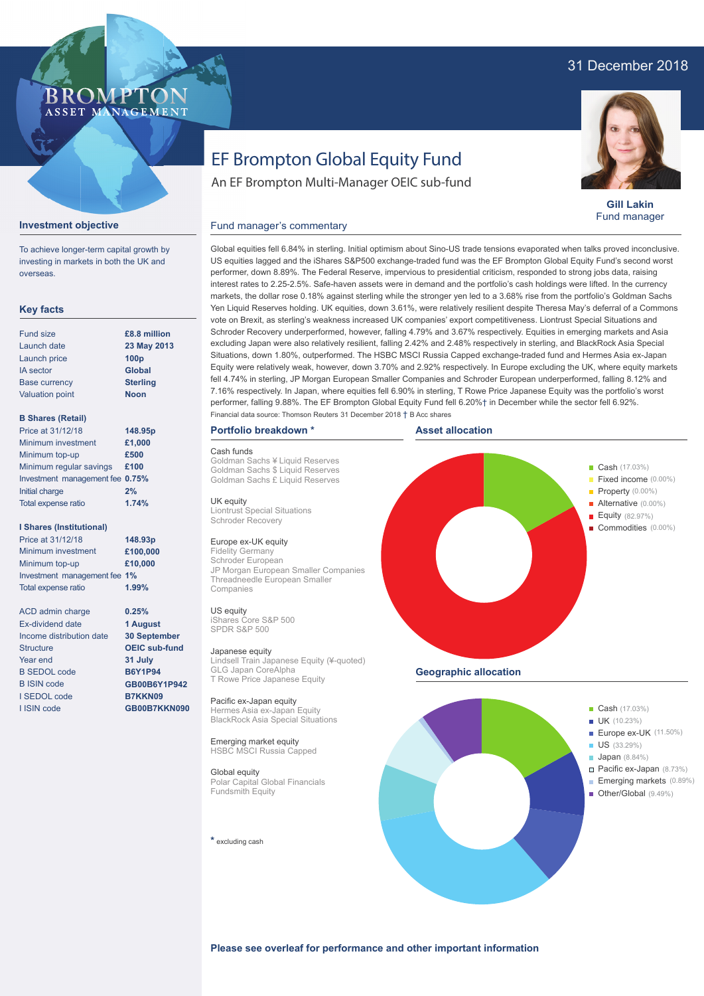# 31 December 2018

# BROMP ASSET MANAGEMENT

# **Gill Lakin** Fund manager

# **Investment objective**

To achieve longer-term capital growth by investing in markets in both the UK and overseas.

# **Key facts**

| £8.8 million     |
|------------------|
| 23 May 2013      |
| 100 <sub>p</sub> |
| <b>Global</b>    |
| <b>Sterling</b>  |
| <b>Noon</b>      |
|                  |

# **B Shares (Retail)**

| Price at 31/12/18               | 148.95p |
|---------------------------------|---------|
| Minimum investment              | £1,000  |
| Minimum top-up                  | £500    |
| Minimum regular savings         | £100    |
| Investment management fee 0.75% |         |
| Initial charge                  | 2%      |
| Total expense ratio             | 1.74%   |
|                                 |         |

### **I Shares (Institutional)**

Minimum investment Minimum top-up Investment management fee **1%** Total expense ratio **£100,000 £10,000** Price at 31/12/18 **148.93p 1.99%**

> **0.25% 1 August 30 September OEIC sub-fund 31 July B6Y1P94 GB00B6Y1P942 B7KKN09 GB00B7KKN090**

ACD admin charge Ex-dividend date Income distribution date Structure Year end B SEDOL code B ISIN code I SEDOL code I ISIN code

# EF Brompton Global Equity Fund

An EF Brompton Multi-Manager OEIC sub-fund

# Fund manager's commentary

Global equities fell 6.84% in sterling. Initial optimism about Sino-US trade tensions evaporated when talks proved inconclusive. US equities lagged and the iShares S&P500 exchange-traded fund was the EF Brompton Global Equity Fund's second worst performer, down 8.89%. The Federal Reserve, impervious to presidential criticism, responded to strong jobs data, raising interest rates to 2.25-2.5%. Safe-haven assets were in demand and the portfolio's cash holdings were lifted. In the currency markets, the dollar rose 0.18% against sterling while the stronger yen led to a 3.68% rise from the portfolio's Goldman Sachs Yen Liquid Reserves holding. UK equities, down 3.61%, were relatively resilient despite Theresa May's deferral of a Commons vote on Brexit, as sterling's weakness increased UK companies' export competitiveness. Liontrust Special Situations and Schroder Recovery underperformed, however, falling 4.79% and 3.67% respectively. Equities in emerging markets and Asia excluding Japan were also relatively resilient, falling 2.42% and 2.48% respectively in sterling, and BlackRock Asia Special Situations, down 1.80%, outperformed. The HSBC MSCI Russia Capped exchange-traded fund and Hermes Asia ex-Japan Equity were relatively weak, however, down 3.70% and 2.92% respectively. In Europe excluding the UK, where equity markets fell 4.74% in sterling, JP Morgan European Smaller Companies and Schroder European underperformed, falling 8.12% and 7.16% respectively. In Japan, where equities fell 6.90% in sterling, T Rowe Price Japanese Equity was the portfolio's worst performer, falling 9.88%. The EF Brompton Global Equity Fund fell 6.20%† in December while the sector fell 6.92%. Financial data source: Thomson Reuters 31 December 2018 † B Acc shares

# **Portfolio breakdown \***

# Cash funds

Goldman Sachs ¥ Liquid Reserves Goldman Sachs \$ Liquid Reserves Goldman Sachs £ Liquid Reserves

UK equity Liontrust Special Situations Schroder Recovery

### Europe ex-UK equity

Fidelity Germany Schroder European JP Morgan European Smaller Companies Threadneedle European Smaller Companies

# US equity

iShares Core S&P 500 SPDR S&P 500

Japanese equity Lindsell Train Japanese Equity (¥-quoted) GLG Japan CoreAlpha T Rowe Price Japanese Equity

Pacific ex-Japan equity Hermes Asia ex-Japan Equity BlackRock Asia Special Situations

Emerging market equity HSBC MSCI Russia Capped

# Global equity

Polar Capital Global Financials Fundsmith Equity

**\*** excluding cash



- Pacific ex-Japan (8.73%) Emerging markets (0.89%)
- Other/Global (9.49%)

**Please see overleaf for performance and other important information**